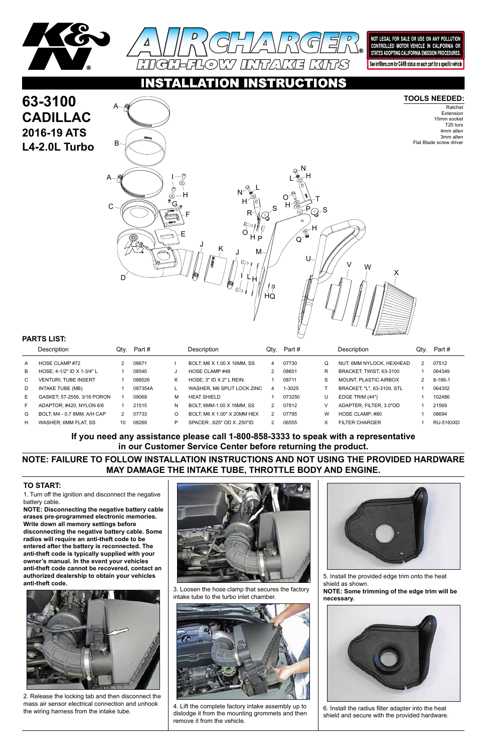

**63-3100**



NOT LEGAL FOR SALE OR USE ON ANY POLLUTION CONTROLLED MOTOR VEHICLE IN CALIFORNIA OR STATES ADOPTING CALIFORNIA EMISSION PROCEDURES.

See knfilters.com for CARB status on each part for a specific vehicle

## **RUCTIONS**

1. Turn off the ignition and disconnect the negative battery cable.

**NOTE: Disconnecting the negative battery cable erases pre-programmed electronic memories. Write down all memory settings before disconnecting the negative battery cable. Some radios will require an anti-theft code to be entered after the battery is reconnected. The anti-theft code is typically supplied with your owner's manual. In the event your vehicles anti-theft code cannot be recovered, contact an authorized dealership to obtain your vehicles anti-theft code.**





#### **TO START:**

#### **TOOLS NEEDED:**

Ratchet Extension 10mm socket T20 torx 4mm allen 3mm allen Flat Blade screw driver

**NOTE: FAILURE TO FOLLOW INSTALLATION INSTRUCTIONS AND NOT USING THE PROVIDED HARDWARE MAY DAMAGE THE INTAKE TUBE, THROTTLE BODY AND ENGINE.**

**If you need any assistance please call 1-800-858-3333 to speak with a representative in our Customer Service Center before returning the product.**



|              | <b>Description</b>          | Qtv. | Part #  |   | Description                    | Qtv. | Part # |   | <b>Description</b>                | Qtv. | Part #    |
|--------------|-----------------------------|------|---------|---|--------------------------------|------|--------|---|-----------------------------------|------|-----------|
| A            | HOSE CLAMP #72              |      | 08671   |   | BOLT: M6 X 1.00 X 16MM, SS     | 4    | 07730  | Q | NUT, 6MM NYLOCK, HEXHEAD          |      | 07512     |
| B            | HOSE: 4-1/2" ID X 1-3/4" L  |      | 08540   |   | HOSE CLAMP #48                 | 2    | 08601  | R | BRACKET TWIST 63-3100             |      | 064349    |
| $\mathbf{C}$ | <b>VENTURI: TUBE INSERT</b> |      | 088026  | Κ | HOSE: $3"$ ID $X$ $2"$ L REIN. |      | 08711  | S | <b>MOUNT. PLASTIC AIRBOX</b>      |      | 8-186-1   |
| D            | INTAKE TUBE (MB)            |      | 087354A |   | WASHER, M6 SPLIT LOCK ZINC     | 4    | 1-3025 |   | <b>BRACKET: "L", 63-3100, STL</b> |      | 064352    |
| E.           | GASKET: 57-2556, 3/16 PORON |      | 09069   | м | HEAT SHIFLD                    |      | 073250 | U | EDGE TRIM (44")                   |      | 102486    |
|              | ADAPTOR: #420, NYLON 6/6    |      | 21515   | N | BOLT: 6MM-1.00 X 16MM, SS      |      | 07812  |   | ADAPTER: FILTER. 3.0"OD           |      | 21569     |
| G            | BOLT. M4 - 0.7 8MM. A/H CAP |      | 07733   | O | BOLT: M6 X 1.00" X 20MM HEX    |      | 07795  | W | HOSE CLAMP: #80                   |      | 08694     |
| H            | WASHER: 6MM FLAT. SS        | 10   | 08269   | P | SPACER: .625" OD X .250"ID     |      | 06555  |   | FILTER CHARGER                    |      | RU-5163XD |

### **PARTS LIST:**



2. Release the locking tab and then disconnect the mass air sensor electrical connection and unhook the wiring harness from the intake tube.

3. Loosen the hose clamp that secures the factory intake tube to the turbo inlet chamber.



4. Lift the complete factory intake assembly up to dislodge it from the mounting grommets and then remove it from the vehicle.

5. Install the provided edge trim onto the heat shield as shown.

**NOTE: Some trimming of the edge trim will be necessary.**



6. Install the radius filter adapter into the heat shield and secure with the provided hardware.